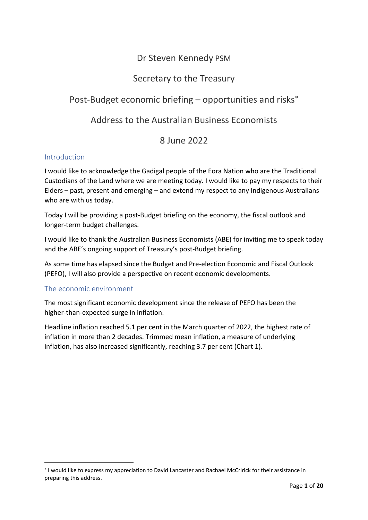# Dr Steven Kennedy PSM

# Secretary to the Treasury

# Post-Budget economic briefing – opportunities and risks<sup>\*</sup>

# Address to the Australian Business Economists

## 8 June 2022

### Introduction

I would like to acknowledge the Gadigal people of the Eora Nation who are the Traditional Custodians of the Land where we are meeting today. I would like to pay my respects to their Elders – past, present and emerging – and extend my respect to any Indigenous Australians who are with us today.

Today I will be providing a post-Budget briefing on the economy, the fiscal outlook and longer-term budget challenges.

I would like to thank the Australian Business Economists (ABE) for inviting me to speak today and the ABE's ongoing support of Treasury's post-Budget briefing.

As some time has elapsed since the Budget and Pre-election Economic and Fiscal Outlook (PEFO), I will also provide a perspective on recent economic developments.

### The economic environment

The most significant economic development since the release of PEFO has been the higher-than-expected surge in inflation.

Headline inflation reached 5.1 per cent in the March quarter of 2022, the highest rate of inflation in more than 2 decades. Trimmed mean inflation, a measure of underlying inflation, has also increased significantly, reaching 3.7 per cent (Chart 1).

<span id="page-0-0"></span><sup>∗</sup> I would like to express my appreciation to David Lancaster and Rachael McCririck for their assistance in preparing this address.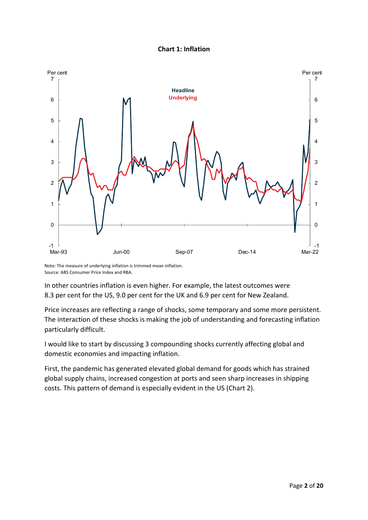



Note: The measure of underlying inflation is trimmed mean inflation. Source: ABS Consumer Price Index and RBA.

In other countries inflation is even higher. For example, the latest outcomes were 8.3 per cent for the US, 9.0 per cent for the UK and 6.9 per cent for New Zealand.

Price increases are reflecting a range of shocks, some temporary and some more persistent. The interaction of these shocks is making the job of understanding and forecasting inflation particularly difficult.

I would like to start by discussing 3 compounding shocks currently affecting global and domestic economies and impacting inflation.

First, the pandemic has generated elevated global demand for goods which has strained global supply chains, increased congestion at ports and seen sharp increases in shipping costs. This pattern of demand is especially evident in the US (Chart 2).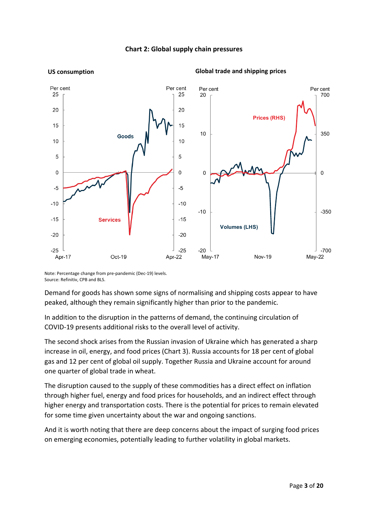

#### **Chart 2: Global supply chain pressures**

Note: Percentage change from pre-pandemic (Dec-19) levels. Source: Refinitiv, CPB and BLS.

Demand for goods has shown some signs of normalising and shipping costs appear to have peaked, although they remain significantly higher than prior to the pandemic.

In addition to the disruption in the patterns of demand, the continuing circulation of COVID-19 presents additional risks to the overall level of activity.

The second shock arises from the Russian invasion of Ukraine which has generated a sharp increase in oil, energy, and food prices (Chart 3). Russia accounts for 18 per cent of global gas and 12 per cent of global oil supply. Together Russia and Ukraine account for around one quarter of global trade in wheat.

The disruption caused to the supply of these commodities has a direct effect on inflation through higher fuel, energy and food prices for households, and an indirect effect through higher energy and transportation costs. There is the potential for prices to remain elevated for some time given uncertainty about the war and ongoing sanctions.

And it is worth noting that there are deep concerns about the impact of surging food prices on emerging economies, potentially leading to further volatility in global markets.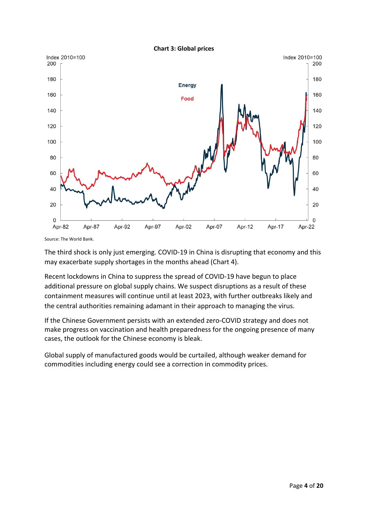

Source: The World Bank.

The third shock is only just emerging. COVID-19 in China is disrupting that economy and this may exacerbate supply shortages in the months ahead (Chart 4).

Recent lockdowns in China to suppress the spread of COVID-19 have begun to place additional pressure on global supply chains. We suspect disruptions as a result of these containment measures will continue until at least 2023, with further outbreaks likely and the central authorities remaining adamant in their approach to managing the virus.

If the Chinese Government persists with an extended zero-COVID strategy and does not make progress on vaccination and health preparedness for the ongoing presence of many cases, the outlook for the Chinese economy is bleak.

Global supply of manufactured goods would be curtailed, although weaker demand for commodities including energy could see a correction in commodity prices.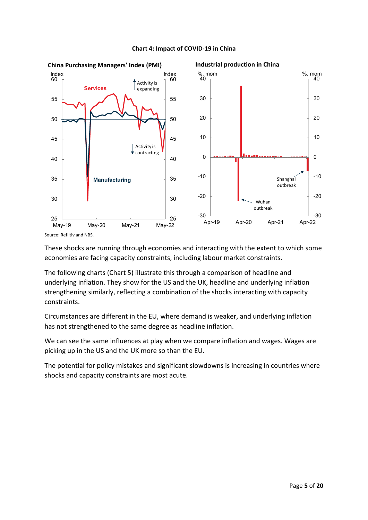

#### **Chart 4: Impact of COVID-19 in China**

Source: Refiitiv and NBS.

These shocks are running through economies and interacting with the extent to which some economies are facing capacity constraints, including labour market constraints.

The following charts (Chart 5) illustrate this through a comparison of headline and underlying inflation. They show for the US and the UK, headline and underlying inflation strengthening similarly, reflecting a combination of the shocks interacting with capacity constraints.

Circumstances are different in the EU, where demand is weaker, and underlying inflation has not strengthened to the same degree as headline inflation.

We can see the same influences at play when we compare inflation and wages. Wages are picking up in the US and the UK more so than the EU.

The potential for policy mistakes and significant slowdowns is increasing in countries where shocks and capacity constraints are most acute.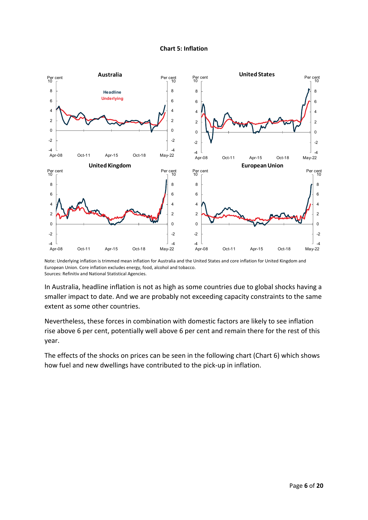#### **Chart 5: Inflation**



Note: Underlying inflation is trimmed mean inflation for Australia and the United States and core inflation for United Kingdom and European Union. Core inflation excludes energy, food, alcohol and tobacco. Sources: Refinitiv and National Statistical Agencies.

In Australia, headline inflation is not as high as some countries due to global shocks having a smaller impact to date. And we are probably not exceeding capacity constraints to the same extent as some other countries.

Nevertheless, these forces in combination with domestic factors are likely to see inflation rise above 6 per cent, potentially well above 6 per cent and remain there for the rest of this year.

The effects of the shocks on prices can be seen in the following chart (Chart 6) which shows how fuel and new dwellings have contributed to the pick-up in inflation.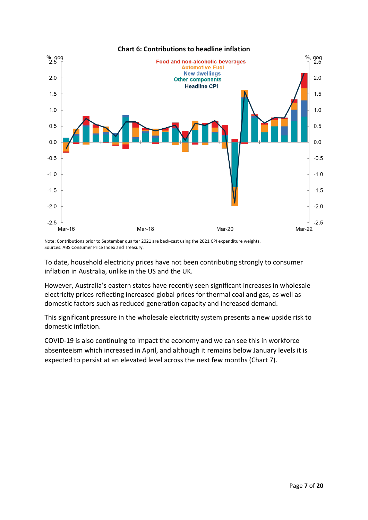

Note: Contributions prior to September quarter 2021 are back-cast using the 2021 CPI expenditure weights. Sources: ABS Consumer Price Index and Treasury.

To date, household electricity prices have not been contributing strongly to consumer inflation in Australia, unlike in the US and the UK.

However, Australia's eastern states have recently seen significant increases in wholesale electricity prices reflecting increased global prices for thermal coal and gas, as well as domestic factors such as reduced generation capacity and increased demand.

This significant pressure in the wholesale electricity system presents a new upside risk to domestic inflation.

COVID-19 is also continuing to impact the economy and we can see this in workforce absenteeism which increased in April, and although it remains below January levels it is expected to persist at an elevated level across the next few months (Chart 7).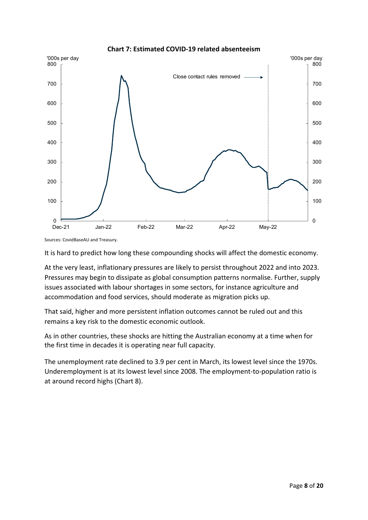

**Chart 7: Estimated COVID-19 related absenteeism**

Sources: CovidBaseAU and Treasury.

It is hard to predict how long these compounding shocks will affect the domestic economy.

At the very least, inflationary pressures are likely to persist throughout 2022 and into 2023. Pressures may begin to dissipate as global consumption patterns normalise. Further, supply issues associated with labour shortages in some sectors, for instance agriculture and accommodation and food services, should moderate as migration picks up.

That said, higher and more persistent inflation outcomes cannot be ruled out and this remains a key risk to the domestic economic outlook.

As in other countries, these shocks are hitting the Australian economy at a time when for the first time in decades it is operating near full capacity.

The unemployment rate declined to 3.9 per cent in March, its lowest level since the 1970s. Underemployment is at its lowest level since 2008. The employment-to-population ratio is at around record highs (Chart 8).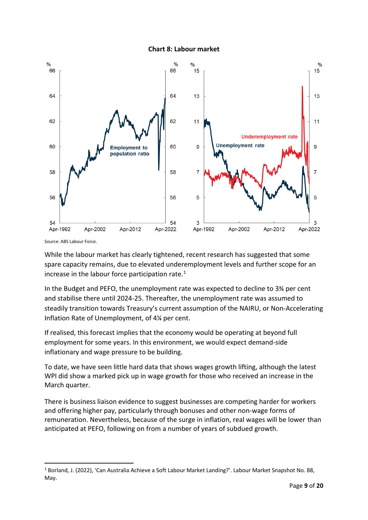



Source: ABS Labour Force.

While the labour market has clearly tightened, recent research has suggested that some spare capacity remains, due to elevated underemployment levels and further scope for an increase in the labour force participation rate. $1$ 

In the Budget and PEFO, the unemployment rate was expected to decline to 3¾ per cent and stabilise there until 2024-25. Thereafter, the unemployment rate was assumed to steadily transition towards Treasury's current assumption of the NAIRU, or Non-Accelerating Inflation Rate of Unemployment, of 4¼ per cent.

If realised, this forecast implies that the economy would be operating at beyond full employment for some years. In this environment, we would expect demand-side inflationary and wage pressure to be building.

To date, we have seen little hard data that shows wages growth lifting, although the latest WPI did show a marked pick up in wage growth for those who received an increase in the March quarter.

There is business liaison evidence to suggest businesses are competing harder for workers and offering higher pay, particularly through bonuses and other non-wage forms of remuneration. Nevertheless, because of the surge in inflation, real wages will be lower than anticipated at PEFO, following on from a number of years of subdued growth.

<span id="page-8-0"></span><sup>1</sup> Borland, J. (2022), 'Can Australia Achieve a Soft Labour Market Landing?'. Labour Market Snapshot No. 88, May.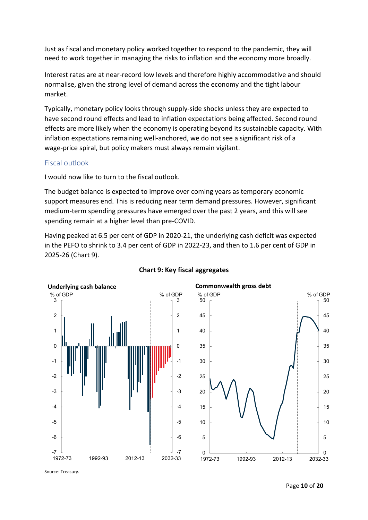Just as fiscal and monetary policy worked together to respond to the pandemic, they will need to work together in managing the risks to inflation and the economy more broadly.

Interest rates are at near-record low levels and therefore highly accommodative and should normalise, given the strong level of demand across the economy and the tight labour market.

Typically, monetary policy looks through supply-side shocks unless they are expected to have second round effects and lead to inflation expectations being affected. Second round effects are more likely when the economy is operating beyond its sustainable capacity. With inflation expectations remaining well-anchored, we do not see a significant risk of a wage-price spiral, but policy makers must always remain vigilant.

#### Fiscal outlook

I would now like to turn to the fiscal outlook.

The budget balance is expected to improve over coming years as temporary economic support measures end. This is reducing near term demand pressures. However, significant medium-term spending pressures have emerged over the past 2 years, and this will see spending remain at a higher level than pre-COVID.

Having peaked at 6.5 per cent of GDP in 2020-21, the underlying cash deficit was expected in the PEFO to shrink to 3.4 per cent of GDP in 2022-23, and then to 1.6 per cent of GDP in 2025-26 (Chart 9).



#### **Chart 9: Key fiscal aggregates**

Source: Treasury.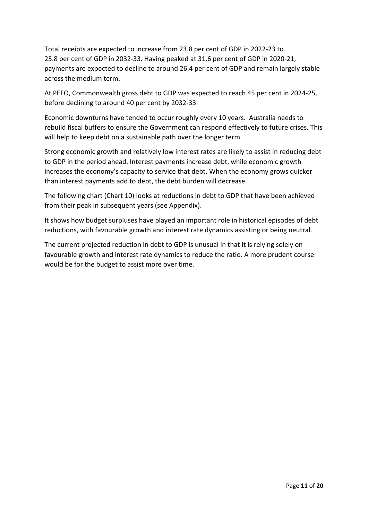Total receipts are expected to increase from 23.8 per cent of GDP in 2022-23 to 25.8 per cent of GDP in 2032-33. Having peaked at 31.6 per cent of GDP in 2020-21, payments are expected to decline to around 26.4 per cent of GDP and remain largely stable across the medium term.

At PEFO, Commonwealth gross debt to GDP was expected to reach 45 per cent in 2024-25, before declining to around 40 per cent by 2032-33.

Economic downturns have tended to occur roughly every 10 years. Australia needs to rebuild fiscal buffers to ensure the Government can respond effectively to future crises. This will help to keep debt on a sustainable path over the longer term.

Strong economic growth and relatively low interest rates are likely to assist in reducing debt to GDP in the period ahead. Interest payments increase debt, while economic growth increases the economy's capacity to service that debt. When the economy grows quicker than interest payments add to debt, the debt burden will decrease.

The following chart (Chart 10) looks at reductions in debt to GDP that have been achieved from their peak in subsequent years (see Appendix).

It shows how budget surpluses have played an important role in historical episodes of debt reductions, with favourable growth and interest rate dynamics assisting or being neutral.

The current projected reduction in debt to GDP is unusual in that it is relying solely on favourable growth and interest rate dynamics to reduce the ratio. A more prudent course would be for the budget to assist more over time.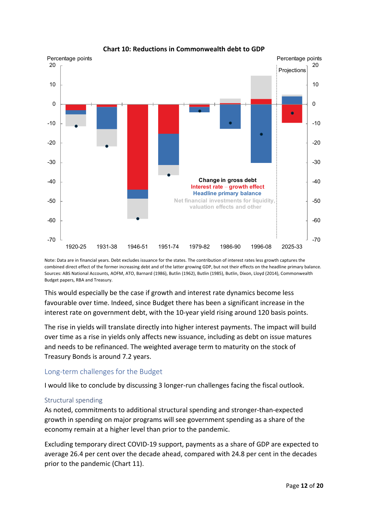

#### **Chart 10: Reductions in Commonwealth debt to GDP**

Note: Data are in financial years. Debt excludes issuance for the states. The contribution of interest rates less growth captures the combined direct effect of the former increasing debt and of the latter growing GDP, but not their effects on the headline primary balance. Sources: ABS National Accounts, AOFM, ATO, Barnard (1986), Butlin (1962), Butlin (1985), Butlin, Dixon, Lloyd (2014), Commonwealth Budget papers, RBA and Treasury.

This would especially be the case if growth and interest rate dynamics become less favourable over time. Indeed, since Budget there has been a significant increase in the interest rate on government debt, with the 10-year yield rising around 120 basis points.

The rise in yields will translate directly into higher interest payments. The impact will build over time as a rise in yields only affects new issuance, including as debt on issue matures and needs to be refinanced. The weighted average term to maturity on the stock of Treasury Bonds is around 7.2 years.

### Long-term challenges for the Budget

I would like to conclude by discussing 3 longer-run challenges facing the fiscal outlook.

### Structural spending

As noted, commitments to additional structural spending and stronger-than-expected growth in spending on major programs will see government spending as a share of the economy remain at a higher level than prior to the pandemic.

Excluding temporary direct COVID-19 support, payments as a share of GDP are expected to average 26.4 per cent over the decade ahead, compared with 24.8 per cent in the decades prior to the pandemic (Chart 11).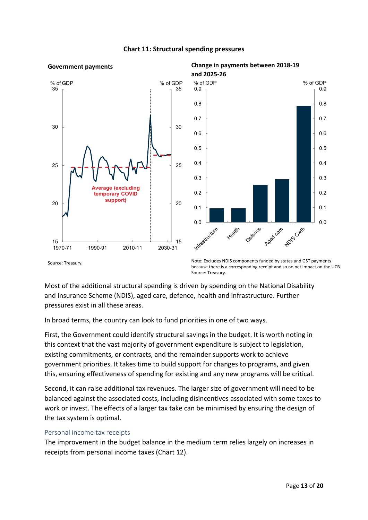

### **Chart 11: Structural spending pressures**

Source: Treasury. Note: Excludes NDIS components funded by states and GST payments because there is a corresponding receipt and so no net impact on the UCB. Source: Treasury.

Most of the additional structural spending is driven by spending on the National Disability and Insurance Scheme (NDIS), aged care, defence, health and infrastructure. Further pressures exist in all these areas.

In broad terms, the country can look to fund priorities in one of two ways.

First, the Government could identify structural savings in the budget. It is worth noting in this context that the vast majority of government expenditure is subject to legislation, existing commitments, or contracts, and the remainder supports work to achieve government priorities. It takes time to build support for changes to programs, and given this, ensuring effectiveness of spending for existing and any new programs will be critical.

Second, it can raise additional tax revenues. The larger size of government will need to be balanced against the associated costs, including disincentives associated with some taxes to work or invest. The effects of a larger tax take can be minimised by ensuring the design of the tax system is optimal.

### Personal income tax receipts

The improvement in the budget balance in the medium term relies largely on increases in receipts from personal income taxes (Chart 12).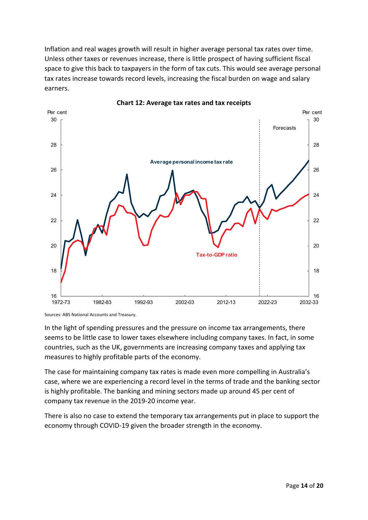Inflation and real wages growth will result in higher average personal tax rates over time. Unless other taxes or revenues increase, there is little prospect of having sufficient fiscal space to give this back to taxpayers in the form of tax cuts. This would see average personal tax rates increase towards record levels, increasing the fiscal burden on wage and salary earners.



**Chart 12: Average tax rates and tax receipts**

In the light of spending pressures and the pressure on income tax arrangements, there seems to be little case to lower taxes elsewhere including company taxes. In fact, in some countries, such as the UK, governments are increasing company taxes and applying tax measures to highly profitable parts of the economy.

The case for maintaining company tax rates is made even more compelling in Australia's case, where we are experiencing a record level in the terms of trade and the banking sector is highly profitable. The banking and mining sectors made up around 45 per cent of company tax revenue in the 2019-20 income year.

There is also no case to extend the temporary tax arrangements put in place to support the economy through COVID-19 given the broader strength in the economy.

Sources: ABS National Accounts and Treasury.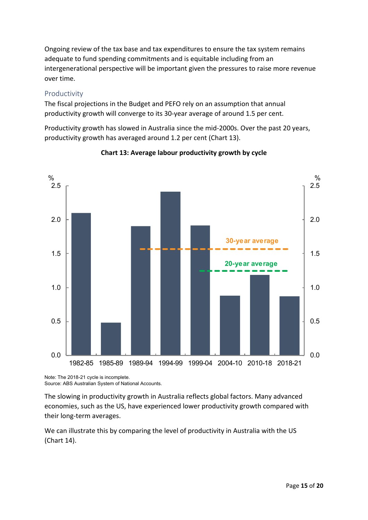Ongoing review of the tax base and tax expenditures to ensure the tax system remains adequate to fund spending commitments and is equitable including from an intergenerational perspective will be important given the pressures to raise more revenue over time.

### Productivity

The fiscal projections in the Budget and PEFO rely on an assumption that annual productivity growth will converge to its 30-year average of around 1.5 per cent.

Productivity growth has slowed in Australia since the mid-2000s. Over the past 20 years, productivity growth has averaged around 1.2 per cent (Chart 13).



**Chart 13: Average labour productivity growth by cycle**

Note: The 2018-21 cycle is incomplete. Source: ABS Australian System of National Accounts.

The slowing in productivity growth in Australia reflects global factors. Many advanced economies, such as the US, have experienced lower productivity growth compared with their long-term averages.

We can illustrate this by comparing the level of productivity in Australia with the US (Chart 14).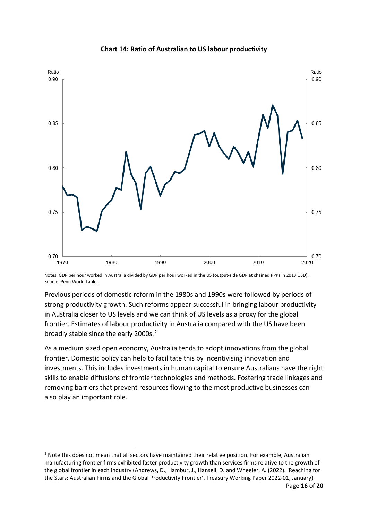

#### **Chart 14: Ratio of Australian to US labour productivity**

Notes: GDP per hour worked in Australia divided by GDP per hour worked in the US (output-side GDP at chained PPPs in 2017 USD). Source: Penn World Table.

Previous periods of domestic reform in the 1980s and 1990s were followed by periods of strong productivity growth. Such reforms appear successful in bringing labour productivity in Australia closer to US levels and we can think of US levels as a proxy for the global frontier. Estimates of labour productivity in Australia compared with the US have been broadly stable since the early [2](#page-15-0)000s.<sup>2</sup>

As a medium sized open economy, Australia tends to adopt innovations from the global frontier. Domestic policy can help to facilitate this by incentivising innovation and investments. This includes investments in human capital to ensure Australians have the right skills to enable diffusions of frontier technologies and methods. Fostering trade linkages and removing barriers that prevent resources flowing to the most productive businesses can also play an important role.

<span id="page-15-0"></span><sup>&</sup>lt;sup>2</sup> Note this does not mean that all sectors have maintained their relative position. For example, Australian manufacturing frontier firms exhibited faster productivity growth than services firms relative to the growth of the global frontier in each industry (Andrews, D., Hambur, J., Hansell, D. and Wheeler, A. (2022). 'Reaching for the Stars: Australian Firms and the Global Productivity Frontier'. Treasury Working Paper 2022-01, January).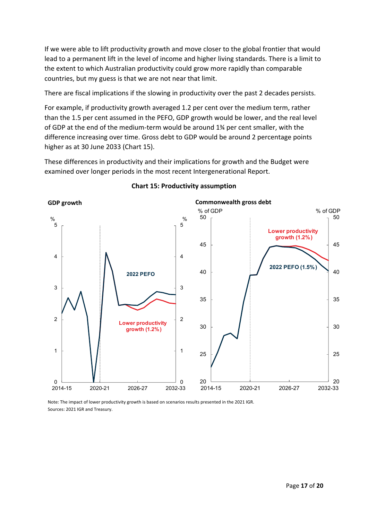If we were able to lift productivity growth and move closer to the global frontier that would lead to a permanent lift in the level of income and higher living standards. There is a limit to the extent to which Australian productivity could grow more rapidly than comparable countries, but my guess is that we are not near that limit.

There are fiscal implications if the slowing in productivity over the past 2 decades persists.

For example, if productivity growth averaged 1.2 per cent over the medium term, rather than the 1.5 per cent assumed in the PEFO, GDP growth would be lower, and the real level of GDP at the end of the medium-term would be around 1¾ per cent smaller, with the difference increasing over time. Gross debt to GDP would be around 2 percentage points higher as at 30 June 2033 (Chart 15).

These differences in productivity and their implications for growth and the Budget were examined over longer periods in the most recent Intergenerational Report.



#### **Chart 15: Productivity assumption**

Note: The impact of lower productivity growth is based on scenarios results presented in the 2021 IGR. Sources: 2021 IGR and Treasury.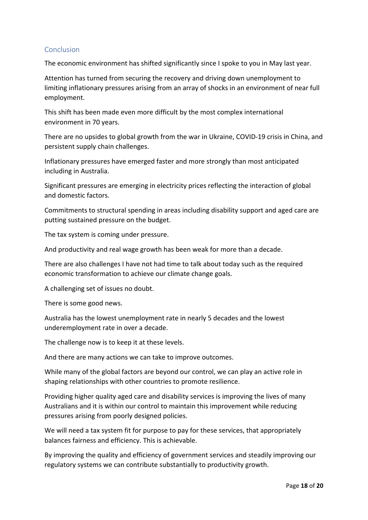### Conclusion

The economic environment has shifted significantly since I spoke to you in May last year.

Attention has turned from securing the recovery and driving down unemployment to limiting inflationary pressures arising from an array of shocks in an environment of near full employment.

This shift has been made even more difficult by the most complex international environment in 70 years.

There are no upsides to global growth from the war in Ukraine, COVID-19 crisis in China, and persistent supply chain challenges.

Inflationary pressures have emerged faster and more strongly than most anticipated including in Australia.

Significant pressures are emerging in electricity prices reflecting the interaction of global and domestic factors.

Commitments to structural spending in areas including disability support and aged care are putting sustained pressure on the budget.

The tax system is coming under pressure.

And productivity and real wage growth has been weak for more than a decade.

There are also challenges I have not had time to talk about today such as the required economic transformation to achieve our climate change goals.

A challenging set of issues no doubt.

There is some good news.

Australia has the lowest unemployment rate in nearly 5 decades and the lowest underemployment rate in over a decade.

The challenge now is to keep it at these levels.

And there are many actions we can take to improve outcomes.

While many of the global factors are beyond our control, we can play an active role in shaping relationships with other countries to promote resilience.

Providing higher quality aged care and disability services is improving the lives of many Australians and it is within our control to maintain this improvement while reducing pressures arising from poorly designed policies.

We will need a tax system fit for purpose to pay for these services, that appropriately balances fairness and efficiency. This is achievable.

By improving the quality and efficiency of government services and steadily improving our regulatory systems we can contribute substantially to productivity growth.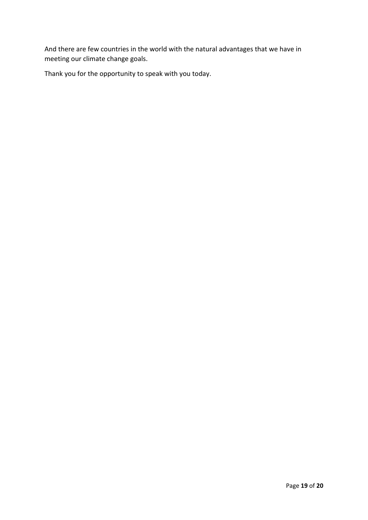And there are few countries in the world with the natural advantages that we have in meeting our climate change goals.

Thank you for the opportunity to speak with you today.